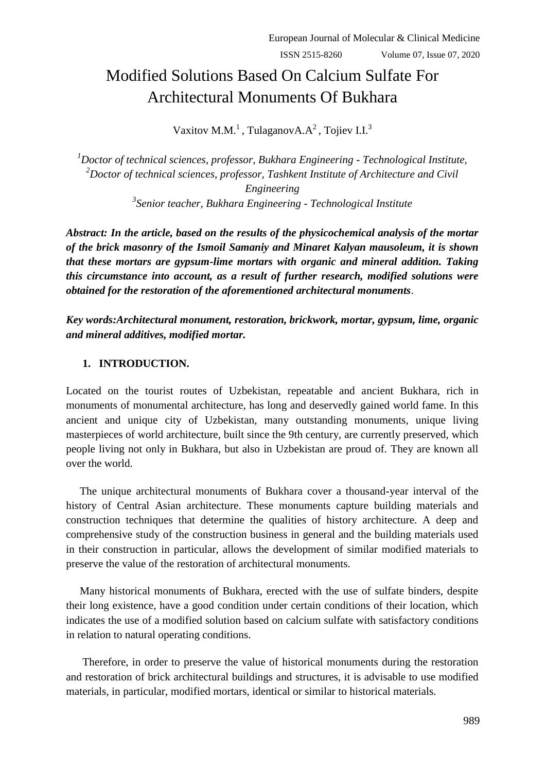# Modified Solutions Based On Calcium Sulfate For Architectural Monuments Of Bukhara

Vaxitov M.M.<sup>1</sup>, TulaganovA.A<sup>2</sup>, Tojiev I.I.<sup>3</sup>

*Doctor of technical sciences, professor, Bukhara Engineering - Technological Institute, Doctor of technical sciences, professor, Tashkent Institute of Architecture and Civil Engineering Senior teacher, Bukhara Engineering - Technological Institute*

*Abstract: In the article, based on the results of the physicochemical analysis of the mortar of the brick masonry of the Ismoil Samaniy and Minaret Kalyan mausoleum, it is shown that these mortars are gypsum-lime mortars with organic and mineral addition. Taking this circumstance into account, as a result of further research, modified solutions were obtained for the restoration of the aforementioned architectural monuments*.

*Key words:Architectural monument, restoration, brickwork, mortar, gypsum, lime, organic and mineral additives, modified mortar.*

# **1. INTRODUCTION.**

Located on the tourist routes of Uzbekistan, repeatable and ancient Bukhara, rich in monuments of monumental architecture, has long and deservedly gained world fame. In this ancient and unique city of Uzbekistan, many outstanding monuments, unique living masterpieces of world architecture, built since the 9th century, are currently preserved, which people living not only in Bukhara, but also in Uzbekistan are proud of. They are known all over the world.

 The unique architectural monuments of Bukhara cover a thousand-year interval of the history of Central Asian architecture. These monuments capture building materials and construction techniques that determine the qualities of history architecture. A deep and comprehensive study of the construction business in general and the building materials used in their construction in particular, allows the development of similar modified materials to preserve the value of the restoration of architectural monuments.

 Many historical monuments of Bukhara, erected with the use of sulfate binders, despite their long existence, have a good condition under certain conditions of their location, which indicates the use of a modified solution based on calcium sulfate with satisfactory conditions in relation to natural operating conditions.

 Therefore, in order to preserve the value of historical monuments during the restoration and restoration of brick architectural buildings and structures, it is advisable to use modified materials, in particular, modified mortars, identical or similar to historical materials.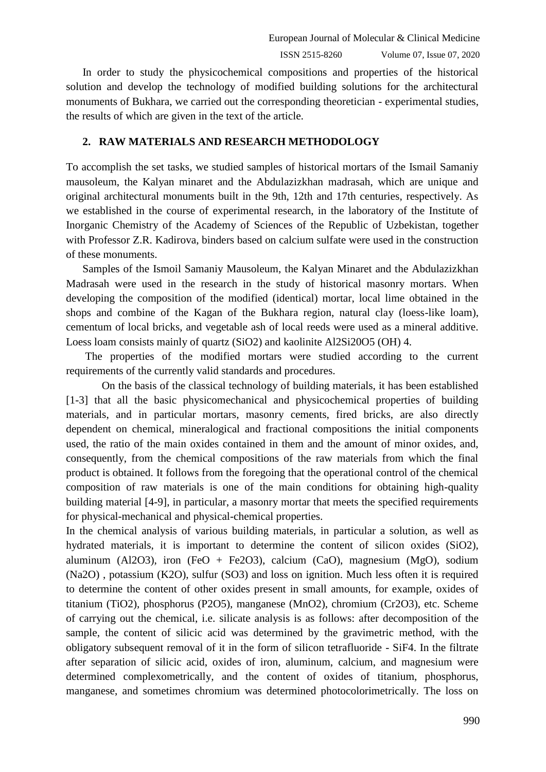In order to study the physicochemical compositions and properties of the historical solution and develop the technology of modified building solutions for the architectural monuments of Bukhara, we carried out the corresponding theoretician - experimental studies, the results of which are given in the text of the article.

## **2. RAW MATERIALS AND RESEARCH METHODOLOGY**

To accomplish the set tasks, we studied samples of historical mortars of the Ismail Samaniy mausoleum, the Kalyan minaret and the Abdulazizkhan madrasah, which are unique and original architectural monuments built in the 9th, 12th and 17th centuries, respectively. As we established in the course of experimental research, in the laboratory of the Institute of Inorganic Chemistry of the Academy of Sciences of the Republic of Uzbekistan, together with Professor Z.R. Kadirova, binders based on calcium sulfate were used in the construction of these monuments.

 Samples of the Ismoil Samaniy Mausoleum, the Kalyan Minaret and the Abdulazizkhan Madrasah were used in the research in the study of historical masonry mortars. When developing the composition of the modified (identical) mortar, local lime obtained in the shops and combine of the Kagan of the Bukhara region, natural clay (loess-like loam), cementum of local bricks, and vegetable ash of local reeds were used as a mineral additive. Loess loam consists mainly of quartz (SiO2) and kaolinite Al2Si20O5 (OH) 4.

 The properties of the modified mortars were studied according to the current requirements of the currently valid standards and procedures.

 On the basis of the classical technology of building materials, it has been established [1-3] that all the basic physicomechanical and physicochemical properties of building materials, and in particular mortars, masonry cements, fired bricks, are also directly dependent on chemical, mineralogical and fractional compositions the initial components used, the ratio of the main oxides contained in them and the amount of minor oxides, and, consequently, from the chemical compositions of the raw materials from which the final product is obtained. It follows from the foregoing that the operational control of the chemical composition of raw materials is one of the main conditions for obtaining high-quality building material [4-9], in particular, a masonry mortar that meets the specified requirements for physical-mechanical and physical-chemical properties.

In the chemical analysis of various building materials, in particular a solution, as well as hydrated materials, it is important to determine the content of silicon oxides (SiO2), aluminum (Al2O3), iron (FeO + Fe2O3), calcium (CaO), magnesium (MgO), sodium (Na2O) , potassium (K2O), sulfur (SO3) and loss on ignition. Much less often it is required to determine the content of other oxides present in small amounts, for example, oxides of titanium (TiO2), phosphorus (P2O5), manganese (MnO2), chromium (Cr2O3), etc. Scheme of carrying out the chemical, i.e. silicate analysis is as follows: after decomposition of the sample, the content of silicic acid was determined by the gravimetric method, with the obligatory subsequent removal of it in the form of silicon tetrafluoride - SiF4. In the filtrate after separation of silicic acid, oxides of iron, aluminum, calcium, and magnesium were determined complexometrically, and the content of oxides of titanium, phosphorus, manganese, and sometimes chromium was determined photocolorimetrically. The loss on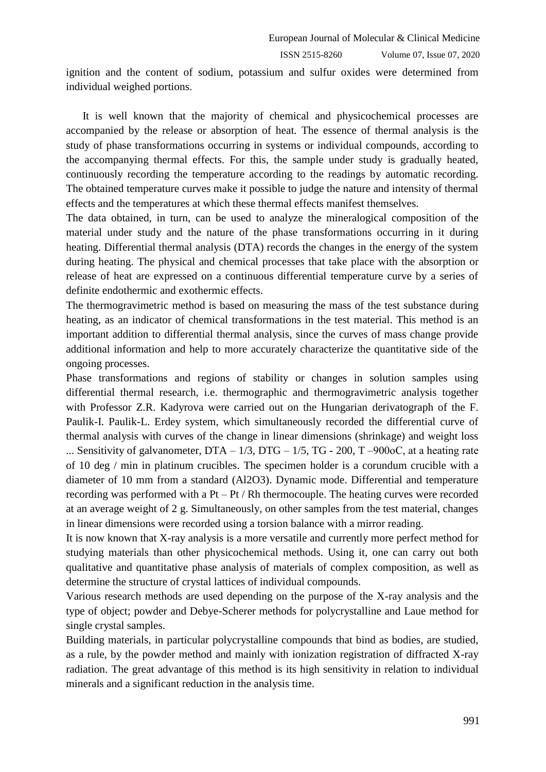ignition and the content of sodium, potassium and sulfur oxides were determined from individual weighed portions.

 It is well known that the majority of chemical and physicochemical processes are accompanied by the release or absorption of heat. The essence of thermal analysis is the study of phase transformations occurring in systems or individual compounds, according to the accompanying thermal effects. For this, the sample under study is gradually heated, continuously recording the temperature according to the readings by automatic recording. The obtained temperature curves make it possible to judge the nature and intensity of thermal effects and the temperatures at which these thermal effects manifest themselves.

The data obtained, in turn, can be used to analyze the mineralogical composition of the material under study and the nature of the phase transformations occurring in it during heating. Differential thermal analysis (DTA) records the changes in the energy of the system during heating. The physical and chemical processes that take place with the absorption or release of heat are expressed on a continuous differential temperature curve by a series of definite endothermic and exothermic effects.

The thermogravimetric method is based on measuring the mass of the test substance during heating, as an indicator of chemical transformations in the test material. This method is an important addition to differential thermal analysis, since the curves of mass change provide additional information and help to more accurately characterize the quantitative side of the ongoing processes.

Phase transformations and regions of stability or changes in solution samples using differential thermal research, i.e. thermographic and thermogravimetric analysis together with Professor Z.R. Kadyrova were carried out on the Hungarian derivatograph of the F. Paulik-I. Paulik-L. Erdey system, which simultaneously recorded the differential curve of thermal analysis with curves of the change in linear dimensions (shrinkage) and weight loss ... Sensitivity of galvanometer,  $DTA - 1/3$ ,  $DTG - 1/5$ ,  $TG - 200$ ,  $T - 900$  oC, at a heating rate of 10 deg / min in platinum crucibles. The specimen holder is a corundum crucible with a diameter of 10 mm from a standard (Al2O3). Dynamic mode. Differential and temperature recording was performed with a Pt – Pt / Rh thermocouple. The heating curves were recorded at an average weight of 2 g. Simultaneously, on other samples from the test material, changes in linear dimensions were recorded using a torsion balance with a mirror reading.

It is now known that X-ray analysis is a more versatile and currently more perfect method for studying materials than other physicochemical methods. Using it, one can carry out both qualitative and quantitative phase analysis of materials of complex composition, as well as determine the structure of crystal lattices of individual compounds.

Various research methods are used depending on the purpose of the X-ray analysis and the type of object; powder and Debye-Scherer methods for polycrystalline and Laue method for single crystal samples.

Building materials, in particular polycrystalline compounds that bind as bodies, are studied, as a rule, by the powder method and mainly with ionization registration of diffracted X-ray radiation. The great advantage of this method is its high sensitivity in relation to individual minerals and a significant reduction in the analysis time.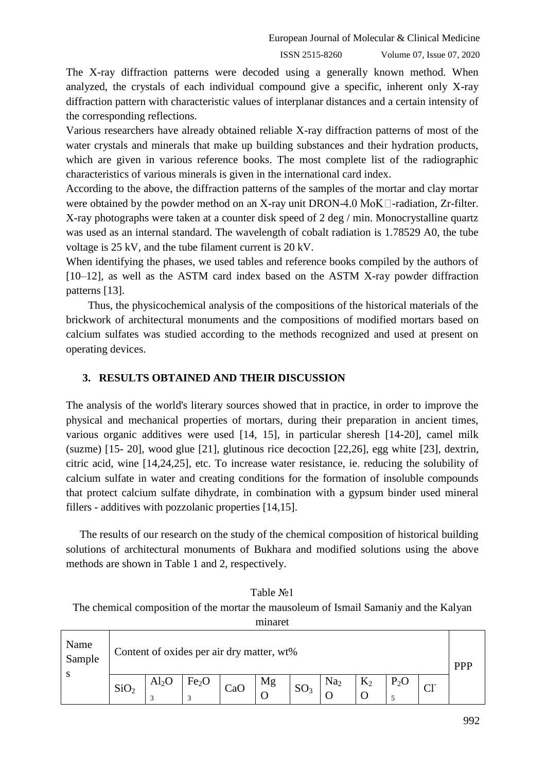The X-ray diffraction patterns were decoded using a generally known method. When analyzed, the crystals of each individual compound give a specific, inherent only X-ray diffraction pattern with characteristic values of interplanar distances and a certain intensity of the corresponding reflections.

Various researchers have already obtained reliable X-ray diffraction patterns of most of the water crystals and minerals that make up building substances and their hydration products, which are given in various reference books. The most complete list of the radiographic characteristics of various minerals is given in the international card index.

According to the above, the diffraction patterns of the samples of the mortar and clay mortar were obtained by the powder method on an X-ray unit DRON-4.0 MoK $\Box$ -radiation, Zr-filter. X-ray photographs were taken at a counter disk speed of 2 deg / min. Monocrystalline quartz was used as an internal standard. The wavelength of cobalt radiation is 1.78529 A0, the tube voltage is 25 kV, and the tube filament current is 20 kV.

When identifying the phases, we used tables and reference books compiled by the authors of [10–12], as well as the ASTM card index based on the ASTM X-ray powder diffraction patterns [13].

 Thus, the physicochemical analysis of the compositions of the historical materials of the brickwork of architectural monuments and the compositions of modified mortars based on calcium sulfates was studied according to the methods recognized and used at present on operating devices.

# **3. RESULTS OBTAINED AND THEIR DISCUSSION**

The analysis of the world's literary sources showed that in practice, in order to improve the physical and mechanical properties of mortars, during their preparation in ancient times, various organic additives were used [14, 15], in particular sheresh [14-20], camel milk (suzme) [15- 20], wood glue [21], glutinous rice decoction [22,26], egg white [23], dextrin, citric acid, wine [14,24,25], etc. To increase water resistance, ie. reducing the solubility of calcium sulfate in water and creating conditions for the formation of insoluble compounds that protect calcium sulfate dihydrate, in combination with a gypsum binder used mineral fillers - additives with pozzolanic properties [14,15].

 The results of our research on the study of the chemical composition of historical building solutions of architectural monuments of Bukhara and modified solutions using the above methods are shown in Table 1 and 2, respectively.

Table №1 The chemical composition of the mortar the mausoleum of Ismail Samaniy and the Kalyan minaret

| Name<br>Sample<br>S | Content of oxides per air dry matter, wt% |                       |                        |     |    |                 |                 |       |  |  |  |
|---------------------|-------------------------------------------|-----------------------|------------------------|-----|----|-----------------|-----------------|-------|--|--|--|
|                     | SiO <sub>2</sub>                          | $\text{Al}_2\text{O}$ | Fe <sub>2</sub> O<br>3 | CaC | Mg | SO <sub>3</sub> | Na <sub>2</sub> | $K_2$ |  |  |  |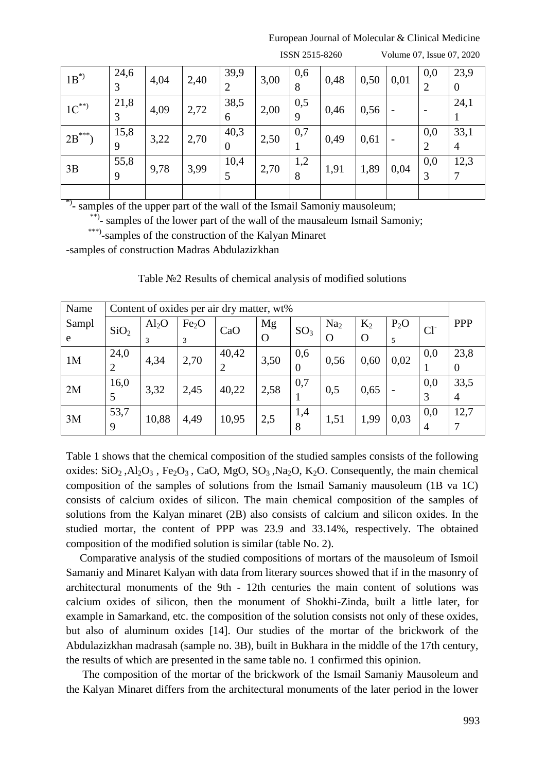#### European Journal of Molecular & Clinical Medicine

| $1B^*$     | 24,6 | 4,04 | 2,40 | 39,9           | 3,00 | 0,6 | 0,48 | 0,50 | 0,01                     | 0,0            | 23,9           |
|------------|------|------|------|----------------|------|-----|------|------|--------------------------|----------------|----------------|
|            | 3    |      |      | $\overline{2}$ |      | 8   |      |      |                          | $\overline{2}$ | $\overline{0}$ |
| $1C^{**}$  | 21,8 | 4,09 | 2,72 | 38,5           | 2,00 | 0,5 | 0,46 | 0,56 |                          |                | 24,1           |
|            | 3    |      |      | 6              |      | 9   |      |      |                          |                |                |
| $2B^{***}$ | 15,8 | 3,22 | 2,70 | 40,3           | 2,50 | 0,7 | 0,49 | 0,61 | $\overline{\phantom{a}}$ | 0,0            | 33,1           |
|            | 9    |      |      | $\overline{0}$ |      |     |      |      |                          | $\overline{2}$ | $\overline{4}$ |
| 3B         | 55,8 | 9,78 | 3,99 | 10,4           | 2,70 | 1,2 | 1,91 | 1,89 | 0,04                     | 0,0            | 12,3           |
|            | 9    |      |      |                |      | 8   |      |      |                          | 3              | 7              |
|            |      |      |      |                |      |     |      |      |                          |                |                |

ISSN 2515-8260 Volume 07, Issue 07, 2020

\*) **-** samples of the upper part of the wall of the Ismail Samoniy mausoleum;

\*\*)- samples of the lower part of the wall of the mausaleum Ismail Samoniy;

\*\*\*\*)-samples of the construction of the Kalyan Minaret

-samples of construction Madras Abdulazizkhan

| Name           | Content of oxides per air dry matter, wt% |                   |                   |       |          |                 |                 |          |        |                |                |
|----------------|-------------------------------------------|-------------------|-------------------|-------|----------|-----------------|-----------------|----------|--------|----------------|----------------|
| Sampl          | SiO <sub>2</sub>                          | Al <sub>2</sub> O | Fe <sub>2</sub> O | CaO   | Mg       | SO <sub>3</sub> | Na <sub>2</sub> | $K_2$    | $P_2O$ | C <sub>I</sub> | <b>PPP</b>     |
| e              |                                           |                   |                   |       | $\Omega$ |                 | $\Omega$        | $\Omega$ | 5      |                |                |
| 1 <sub>M</sub> | 24,0                                      | 4,34              | 2,70              | 40,42 | 3,50     | 0,6             | 0,56            | 0,60     | 0,02   | 0,0            | 23,8           |
|                |                                           |                   |                   |       |          | $\theta$        |                 |          |        |                | $\theta$       |
| 2M             | 16,0                                      | 3,32              | 2,45              | 40,22 | 2,58     | 0,7             | 0,5             | 0,65     |        | 0,0            | 33,5           |
|                |                                           |                   |                   |       |          |                 |                 |          |        | 3              | $\overline{4}$ |
| 3M             | 53,7                                      | 10,88             | 4,49              | 10,95 | 2,5      | 1,4             | 1,51            | 1,99     | 0,03   | 0,0            | 12,7           |
|                | 9                                         |                   |                   |       |          | 8               |                 |          |        | 4              |                |

Table №2 Results of chemical analysis of modified solutions

Table 1 shows that the chemical composition of the studied samples consists of the following oxides:  $SiO_2$ ,  $Al_2O_3$ ,  $Fe_2O_3$ ,  $CaO$ ,  $MgO$ ,  $SO_3$ ,  $Na_2O$ ,  $K_2O$ . Consequently, the main chemical composition of the samples of solutions from the Ismail Samaniy mausoleum (1B va 1C) consists of calcium oxides of silicon. The main chemical composition of the samples of solutions from the Kalyan minaret (2B) also consists of calcium and silicon oxides. In the studied mortar, the content of PPP was 23.9 and 33.14%, respectively. The obtained composition of the modified solution is similar (table No. 2).

 Comparative analysis of the studied compositions of mortars of the mausoleum of Ismoil Samaniy and Minaret Kalyan with data from literary sources showed that if in the masonry of architectural monuments of the 9th - 12th centuries the main content of solutions was calcium oxides of silicon, then the monument of Shokhi-Zinda, built a little later, for example in Samarkand, etc. the composition of the solution consists not only of these oxides, but also of aluminum oxides [14]. Our studies of the mortar of the brickwork of the Abdulazizkhan madrasah (sample no. 3B), built in Bukhara in the middle of the 17th century, the results of which are presented in the same table no. 1 confirmed this opinion.

 The composition of the mortar of the brickwork of the Ismail Samaniy Mausoleum and the Kalyan Minaret differs from the architectural monuments of the later period in the lower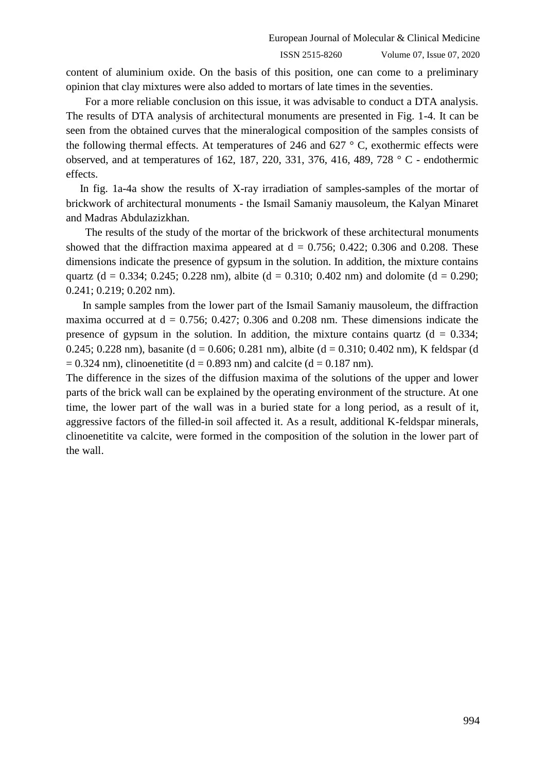content of aluminium oxide. On the basis of this position, one can come to a preliminary opinion that clay mixtures were also added to mortars of late times in the seventies.

 For a more reliable conclusion on this issue, it was advisable to conduct a DTA analysis. The results of DTA analysis of architectural monuments are presented in Fig. 1-4. It can be seen from the obtained curves that the mineralogical composition of the samples consists of the following thermal effects. At temperatures of 246 and 627  $\degree$  C, exothermic effects were observed, and at temperatures of 162, 187, 220, 331, 376, 416, 489, 728 ° C - endothermic effects.

 In fig. 1a-4a show the results of X-ray irradiation of samples-samples of the mortar of brickwork of architectural monuments - the Ismail Samaniy mausoleum, the Kalyan Minaret and Madras Abdulazizkhan.

 The results of the study of the mortar of the brickwork of these architectural monuments showed that the diffraction maxima appeared at  $d = 0.756$ ; 0.422; 0.306 and 0.208. These dimensions indicate the presence of gypsum in the solution. In addition, the mixture contains quartz (d = 0.334; 0.245; 0.228 nm), albite (d = 0.310; 0.402 nm) and dolomite (d = 0.290; 0.241; 0.219; 0.202 nm).

 In sample samples from the lower part of the Ismail Samaniy mausoleum, the diffraction maxima occurred at  $d = 0.756$ ; 0.427; 0.306 and 0.208 nm. These dimensions indicate the presence of gypsum in the solution. In addition, the mixture contains quartz  $(d = 0.334)$ ; 0.245; 0.228 nm), basanite (d = 0.606; 0.281 nm), albite (d = 0.310; 0.402 nm), K feldspar (d  $= 0.324$  nm), clinoenetitite (d = 0.893 nm) and calcite (d = 0.187 nm).

The difference in the sizes of the diffusion maxima of the solutions of the upper and lower parts of the brick wall can be explained by the operating environment of the structure. At one time, the lower part of the wall was in a buried state for a long period, as a result of it, aggressive factors of the filled-in soil affected it. As a result, additional K-feldspar minerals, clinoenetitite va calcite, were formed in the composition of the solution in the lower part of the wall.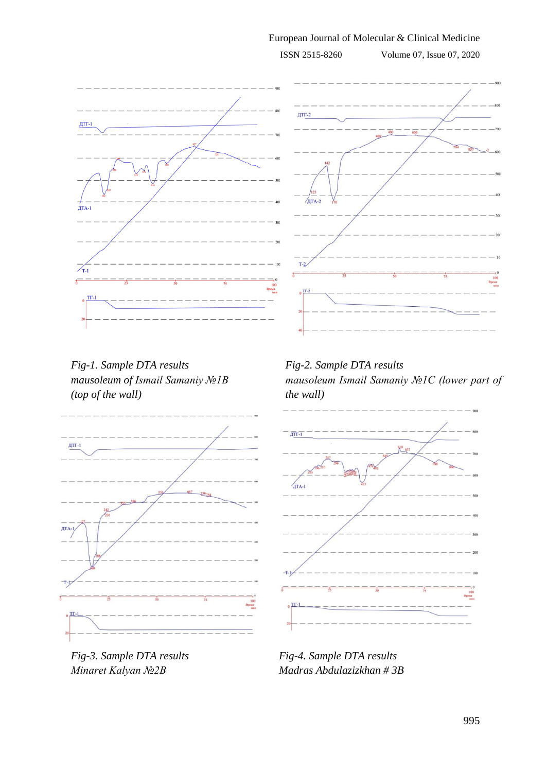## European Journal of Molecular & Clinical Medicine

ISSN 2515-8260 Volume 07, Issue 07, 2020



*Fig-1. Sample DTA results mausoleum of Ismail Samaniy №1В (top of the wall)*



*Fig-3. Sample DTA results Minaret Kalyan №2В*

*Fig-2. Sample DTA results mausoleum Ismail Samaniy №1C (lower part of the wall)*



*Fig-4. Sample DTA results Madras Abdulazizkhan # 3B*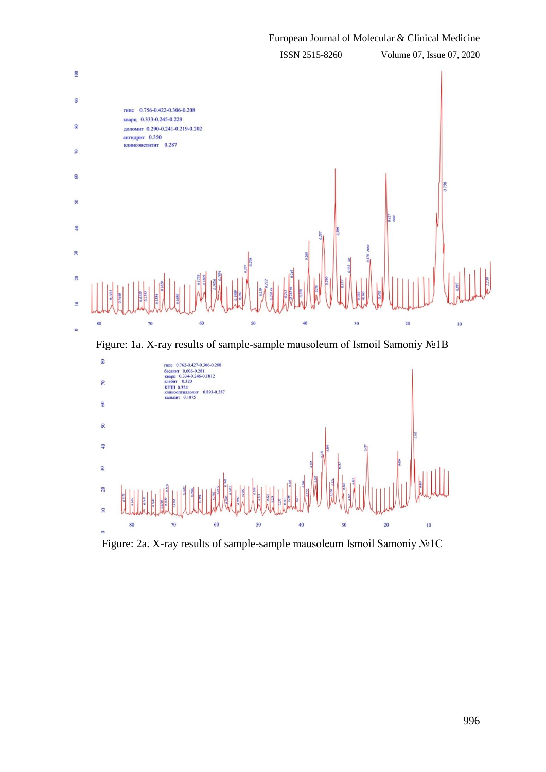

Figure: 2a. X-ray results of sample-sample mausoleum Ismoil Samoniy №1С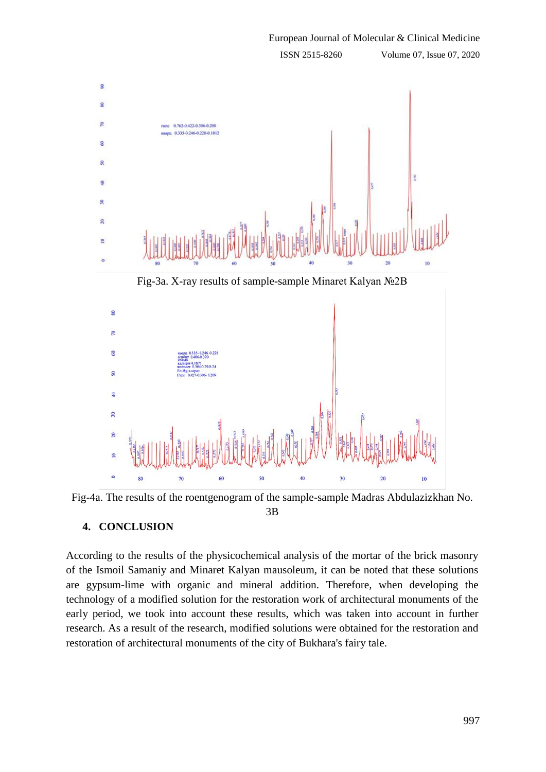

Fig-4a. The results of the roentgenogram of the sample-sample Madras Abdulazizkhan No.

3B

# **4. CONCLUSION**

According to the results of the physicochemical analysis of the mortar of the brick masonry of the Ismoil Samaniy and Minaret Kalyan mausoleum, it can be noted that these solutions are gypsum-lime with organic and mineral addition. Therefore, when developing the technology of a modified solution for the restoration work of architectural monuments of the early period, we took into account these results, which was taken into account in further research. As a result of the research, modified solutions were obtained for the restoration and restoration of architectural monuments of the city of Bukhara's fairy tale.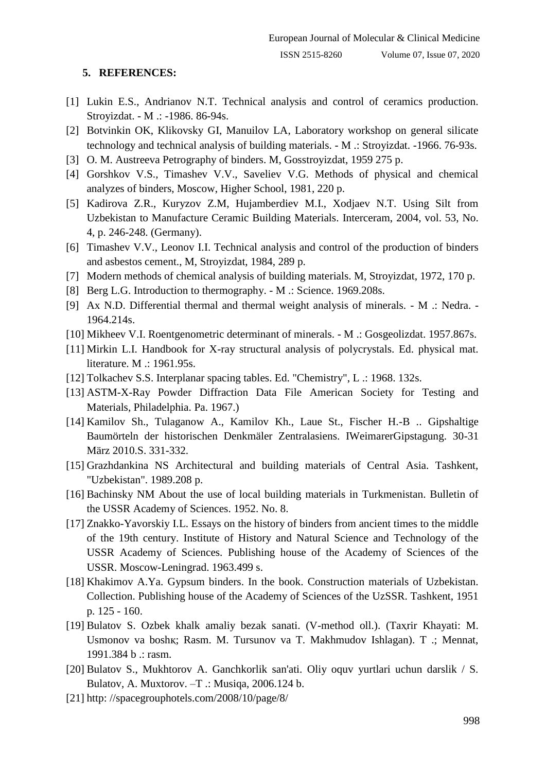### **5. REFERENCES:**

- [1] Lukin E.S., Andrianov N.T. Technical analysis and control of ceramics production. Stroyizdat. - M .: -1986. 86-94s.
- [2] Botvinkin OK, Klikovsky GI, Manuilov LA, Laboratory workshop on general silicate technology and technical analysis of building materials. - M .: Stroyizdat. -1966. 76-93s.
- [3] O. M. Austreeva Petrography of binders. M, Gosstroyizdat, 1959 275 p.
- [4] Gorshkov V.S., Timashev V.V., Saveliev V.G. Methods of physical and chemical analyzes of binders, Moscow, Higher School, 1981, 220 p.
- [5] Kadirova Z.R., Kuryzov Z.M, Hujamberdiev M.I., Xodjaev N.T. Using Silt from Uzbekistan to Manufacture Ceramic Building Materials. Interceram, 2004, vol. 53, No. 4, p. 246-248. (Germany).
- [6] Timashev V.V., Leonov I.I. Technical analysis and control of the production of binders and asbestos cement., M, Stroyizdat, 1984, 289 p.
- [7] Modern methods of chemical analysis of building materials. M, Stroyizdat, 1972, 170 p.
- [8] Berg L.G. Introduction to thermography. M .: Science. 1969.208s.
- [9] Ax N.D. Differential thermal and thermal weight analysis of minerals. M .: Nedra. 1964.214s.
- [10] Mikheev V.I. Roentgenometric determinant of minerals. M .: Gosgeolizdat. 1957.867s.
- [11] Mirkin L.I. Handbook for X-ray structural analysis of polycrystals. Ed. physical mat. literature. M .: 1961.95s.
- [12] Tolkachev S.S. Interplanar spacing tables. Ed. "Chemistry", L .: 1968. 132s.
- [13] ASTM-X-Ray Powder Diffraction Data File American Society for Testing and Materials, Philadelphia. Pa. 1967.)
- [14] Kamilov Sh., Tulaganow A., Kamilov Kh., Laue St., Fischer H.-B .. Gipshaltige Baumörteln der historischen Denkmäler Zentralasiens. IWeimarerGipstagung. 30-31 März 2010.S. 331-332.
- [15] Grazhdankina NS Architectural and building materials of Central Asia. Tashkent, "Uzbekistan". 1989.208 p.
- [16] Bachinsky NM About the use of local building materials in Turkmenistan. Bulletin of the USSR Academy of Sciences. 1952. No. 8.
- [17] Znakko-Yavorskiy I.L. Essays on the history of binders from ancient times to the middle of the 19th century. Institute of History and Natural Science and Technology of the USSR Academy of Sciences. Publishing house of the Academy of Sciences of the USSR. Moscow-Leningrad. 1963.499 s.
- [18] Khakimov A.Ya. Gypsum binders. In the book. Construction materials of Uzbekistan. Collection. Publishing house of the Academy of Sciences of the UzSSR. Tashkent, 1951 p. 125 - 160.
- [19] Bulatov S. Ozbek khalk amaliy bezak sanati. (V-method oll.). (Taҳrir Khayati: M. Usmonov va boshқ; Rasm. M. Tursunov va T. Makhmudov Ishlagan). T .; Mennat, 1991.384 b .: rasm.
- [20] Bulatov S., Mukhtorov A. Ganchkorlik san'ati. Oliy oquv yurtlari uchun darslik / S. Bulatov, A. Muxtorov. –T .: Musiqa, 2006.124 b.
- [21] http: //spacegrouphotels.com/2008/10/page/8/